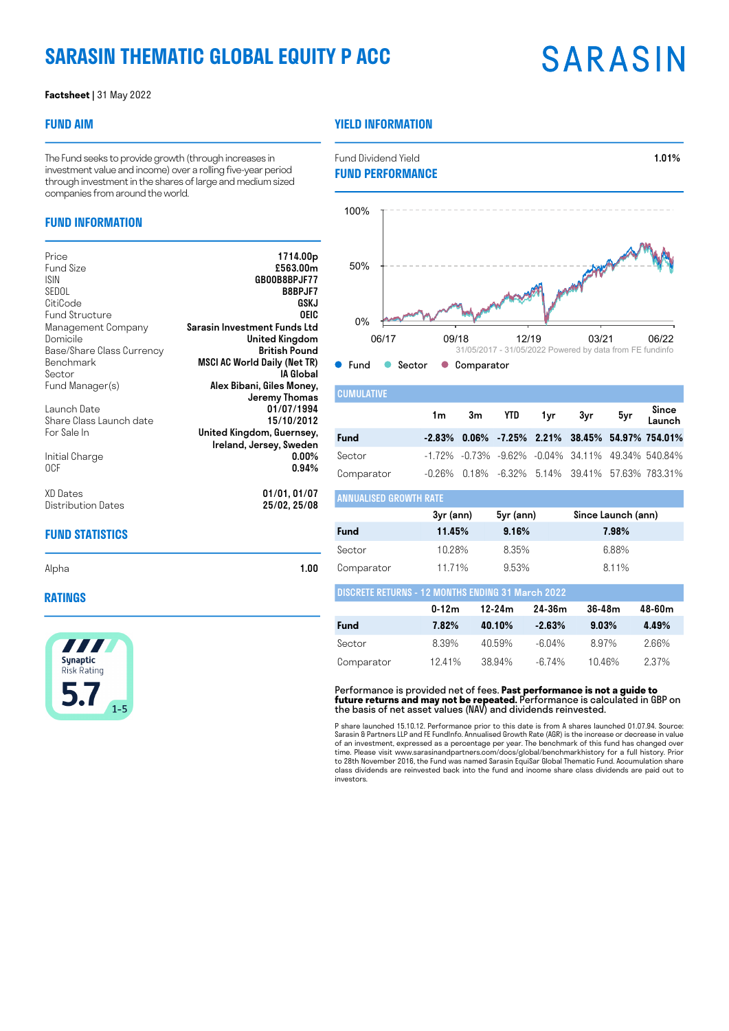## **SARASIN THEMATIC GLOBAL EQUITY P ACC**

# **SARASIN**

#### **Factsheet |** 31 May 2022

#### **FUND AIM**

### **YIELD INFORMATION**

ANNUALISED GROWTH RATE

The Fund seeks to provide growth (through increases in investment value and income) over a rolling five-year period through investment in the shares of large and medium sized companies from around the world.

#### **FUND INFORMATION**

| Price                     | 1714.00 <sub>p</sub>                |
|---------------------------|-------------------------------------|
| Fund Size                 | £563.00m                            |
|                           |                                     |
| <b>ISIN</b>               | GB00B8BPJF77                        |
| SEDOL                     | <b>B8BPJF7</b>                      |
| CitiCode                  | GSKJ                                |
| <b>Fund Structure</b>     | OEIC                                |
| Management Company        | Sarasin Investment Funds Ltd        |
| Domicile                  | United Kingdom                      |
| Base/Share Class Currency | <b>British Pound</b>                |
| Benchmark                 | <b>MSCI AC World Daily (Net TR)</b> |
| Sector                    | IA Global                           |
| Fund Manager(s)           | Alex Bibani, Giles Money,           |
|                           | Jeremy Thomas                       |
| Launch Date               | 01/07/1994                          |
| Share Class Launch date   | 15/10/2012                          |
| For Sale In               | United Kingdom, Guernsey,           |
|                           | Ireland, Jersey, Sweden             |
| Initial Charge            | $0.00\%$                            |
| 0CF                       | $0.94\%$                            |
|                           |                                     |
|                           |                                     |
| XD Dates                  | 01/01, 01/07                        |
| Distribution Dates        | 25/02, 25/08                        |



Fund Dividend Yield **1.01%** 

| <b>CUMULATIVE</b> |  |  |                   |                                                               |
|-------------------|--|--|-------------------|---------------------------------------------------------------|
|                   |  |  | 1m 3m YTD 1yr 3yr | 5yr Since<br>Launch                                           |
| Fund              |  |  |                   | $-2.83\%$ 0.06% $-7.25\%$ 2.21% 38.45% 54.97% 754.01%         |
| Sector            |  |  |                   | $-1.72\%$ $-0.73\%$ $-9.62\%$ $-0.04\%$ 34.11% 49.34% 540.84% |
| Comparator        |  |  |                   | $-0.26\%$ 0.18% $-6.32\%$ 5.14% 39.41% 57.63% 783.31%         |

| ANNUALISED GRUWIH KAIE |           |           |                    |
|------------------------|-----------|-----------|--------------------|
|                        | 3yr (ann) | 5yr (ann) | Since Launch (ann) |
| <b>Fund</b>            | 11.45%    | 9.16%     | 7.98%              |
| Sector                 | 10.28%    | 8.35%     | 6.88%              |
| Comparator             | 1171%     | 9.53%     | 8.11%              |

| <b>DISCRETE RETURNS - 12 MONTHS ENDING 31 March 2022</b> |       |        |           |       |       |  |  |  |
|----------------------------------------------------------|-------|--------|-----------|-------|-------|--|--|--|
| 24-36m<br>$0 - 12m$<br>$36-48m$<br>48-60m<br>12-24m      |       |        |           |       |       |  |  |  |
| <b>Fund</b>                                              | 7.82% | 40.10% | $-2.63%$  | 9.03% | 4.49% |  |  |  |
| Sector                                                   | 8.39% | 4059%  | $-6.04\%$ | 897%  | 2 66% |  |  |  |
| Comparator                                               | 1241% | 38.94% | $-6.74\%$ | 1046% | 237%  |  |  |  |

Performance is provided net of fees. **Past performance is not a guide to future returns and may not be repeated.** Performance is calculated in GBP on the basis of net asset values (NAV) and dividends reinvested.

P share launched 15.10.12. Performance prior to this date is from A shares launched 01.07.94. Source:<br>Sarasin & Partners LLP and FE Fundlnfo. Annualised Growth Rate (AGR) is the increase or decrease in value<br>of an investme class dividends are reinvested back into the fund and income share class dividends are paid out to investors.

| Alpha | 1.00 |
|-------|------|
|       |      |

### **RATINGS**



**FUND STATISTICS**